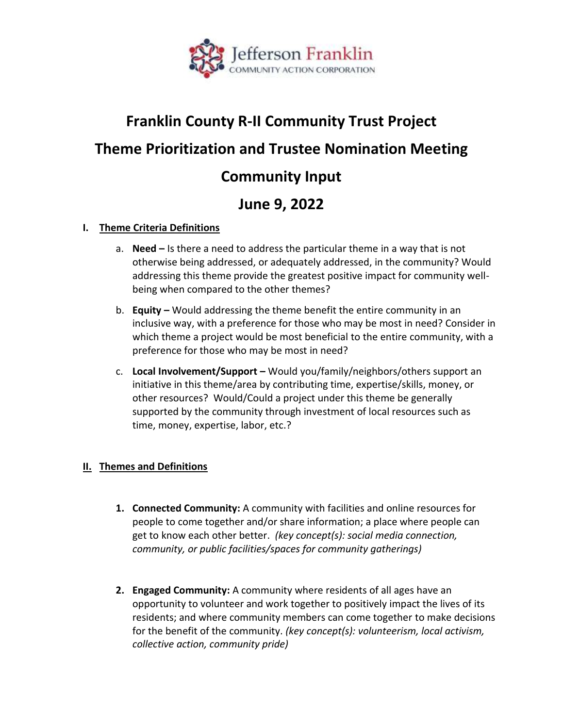

# **Franklin County R-II Community Trust Project Theme Prioritization and Trustee Nomination Meeting Community Input**

## **June 9, 2022**

#### **I. Theme Criteria Definitions**

- a. **Need –** Is there a need to address the particular theme in a way that is not otherwise being addressed, or adequately addressed, in the community? Would addressing this theme provide the greatest positive impact for community wellbeing when compared to the other themes?
- b. **Equity –** Would addressing the theme benefit the entire community in an inclusive way, with a preference for those who may be most in need? Consider in which theme a project would be most beneficial to the entire community, with a preference for those who may be most in need?
- c. **Local Involvement/Support –** Would you/family/neighbors/others support an initiative in this theme/area by contributing time, expertise/skills, money, or other resources? Would/Could a project under this theme be generally supported by the community through investment of local resources such as time, money, expertise, labor, etc.?

## **II. Themes and Definitions**

- **1. Connected Community:** A community with facilities and online resources for people to come together and/or share information; a place where people can get to know each other better. *(key concept(s): social media connection, community, or public facilities/spaces for community gatherings)*
- **2. Engaged Community:** A community where residents of all ages have an opportunity to volunteer and work together to positively impact the lives of its residents; and where community members can come together to make decisions for the benefit of the community. *(key concept(s): volunteerism, local activism, collective action, community pride)*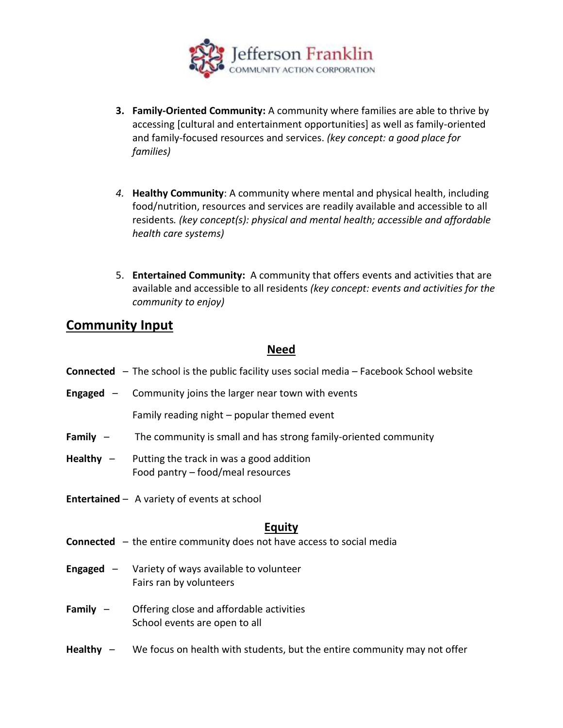

- **3. Family-Oriented Community:** A community where families are able to thrive by accessing [cultural and entertainment opportunities] as well as family-oriented and family-focused resources and services. *(key concept: a good place for families)*
- *4.* **Healthy Community**: A community where mental and physical health, including food/nutrition, resources and services are readily available and accessible to all residents*. (key concept(s): physical and mental health; accessible and affordable health care systems)*
- 5. **Entertained Community:** A community that offers events and activities that are available and accessible to all residents *(key concept: events and activities for the community to enjoy)*

## **Community Input**

## **Need**

- **Connected** The school is the public facility uses social media Facebook School website
- **Engaged** Community joins the larger near town with events

Family reading night – popular themed event

- **Family**  The community is small and has strong family-oriented community
- **Healthy**  Putting the track in was a good addition Food pantry – food/meal resources
- **Entertained** A variety of events at school

## **Equity**

- **Connected** the entire community does not have access to social media
- **Engaged** Variety of ways available to volunteer Fairs ran by volunteers
- **Family**  Offering close and affordable activities School events are open to all
- **Healthy** We focus on health with students, but the entire community may not offer